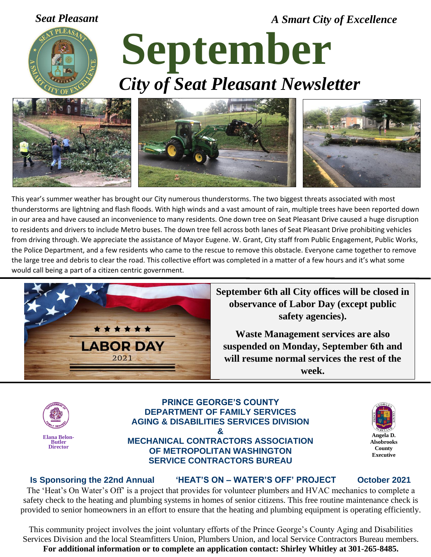*Seat Pleasant A Smart City of Excellence*



# **September** *City of Seat Pleasant Newsletter*



This year's summer weather has brought our City numerous thunderstorms. The two biggest threats associated with most thunderstorms are lightning and flash floods. With high winds and a vast amount of rain, multiple trees have been reported down in our area and have caused an inconvenience to many residents. One down tree on Seat Pleasant Drive caused a huge disruption to residents and drivers to include Metro buses. The down tree fell across both lanes of Seat Pleasant Drive prohibiting vehicles from driving through. We appreciate the assistance of Mayor Eugene. W. Grant, City staff from Public Engagement, Public Works, the Police Department, and a few residents who came to the rescue to remove this obstacle. Everyone came together to remove the large tree and debris to clear the road. This collective effort was completed in a matter of a few hours and it's what some would call being a part of a citizen centric government.



**September 6th all City offices will be closed in observance of Labor Day (except public safety agencies).**

**Waste Management services are also suspended on Monday, September 6th and will resume normal services the rest of the week.**



#### **PRINCE GEORGE'S COUNTY DEPARTMENT OF FAMILY SERVICES AGING & DISABILITIES SERVICES DIVISION & MECHANICAL CONTRACTORS ASSOCIATION OF METROPOLITAN WASHINGTON SERVICE CONTRACTORS BUREAU**



#### **Is Sponsoring the 22nd Annual 'HEAT'S ON – WATER'S OFF' PROJECT October 2021**

The 'Heat's On Water's Off' is a project that provides for volunteer plumbers and HVAC mechanics to complete a safety check to the heating and plumbing systems in homes of senior citizens. This free routine maintenance check is provided to senior homeowners in an effort to ensure that the heating and plumbing equipment is operating efficiently.

This community project involves the joint voluntary efforts of the Prince George's County Aging and Disabilities Services Division and the local Steamfitters Union, Plumbers Union, and local Service Contractors Bureau members. **For additional information or to complete an application contact: Shirley Whitley at 301-265-8485.**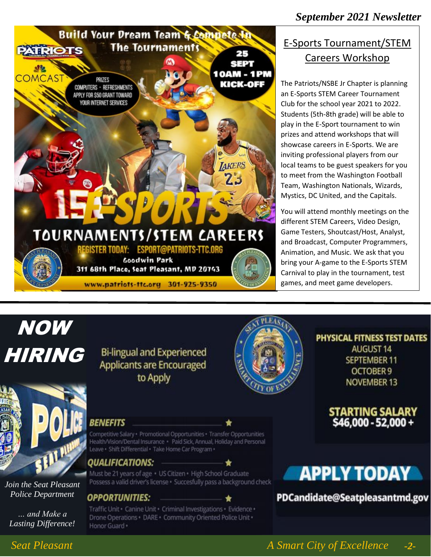

### E-Sports Tournament/STEM Careers Workshop

The Patriots/NSBE Jr Chapter is planning an E-Sports STEM Career Tournament Club for the school year 2021 to 2022. Students (5th-8th grade) will be able to play in the E-Sport tournament to win prizes and attend workshops that will showcase careers in E-Sports. We are inviting professional players from our local teams to be guest speakers for you to meet from the Washington Football Team, Washington Nationals, Wizards, Mystics, DC United, and the Capitals.

You will attend monthly meetings on the different STEM Careers, Video Design, Game Testers, Shoutcast/Host, Analyst, and Broadcast, Computer Programmers, Animation, and Music. We ask that you bring your A-game to the E-Sports STEM Carnival to play in the tournament, test games, and meet game developers.

## NOW HIRING



*Join the Seat Pleasant Police Department*

*… and Make a Lasting Difference!*

### **Bi-lingual and Experienced Applicants are Encouraged** to Apply



#### PHYSICAL FITNESS TEST DATES **AUGUST 14 SEPTEMBER 11** OCTOBER 9 **NOVEMBER 13**

**STARTING SALARY<br>\$46,000 - 52,000 +** 

#### Health/Vision/Dental Insurance · Paid Sick, Annual, Holiday and Personal Leave · Shift Differential · Take Home Car Program · *QUALIFICATIONS:*

Must be 21 years of age · US Citizen · High School Graduate Possess a valid driver's license · Succesfully pass a background check

Competitive Salary · Promotional Opportunities · Transfer Opportunities

#### **OPPORTUNITIES:**

**BENEFITS** 

Traffic Unit · Canine Unit · Criminal Investigations · Evidence · Drone Operations · DARE · Community Oriented Police Unit · Honor Guard ·

## **APPLY TODAY**

PDCandidate@Seatpleasantmd.gov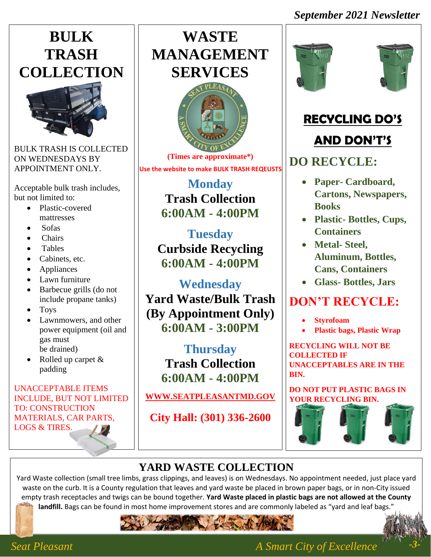### *September 2021 Newsletter*

## **BULK TRASH COLLECTION**



BULK TRASH IS COLLECTED ON WEDNESDAYS BY APPOINTMENT ONLY.

Acceptable bulk trash includes, but not limited to:

- Plastic-covered mattresses
- Sofas
- Chairs
- Tables
- Cabinets, etc.
- Appliances
- Lawn furniture
- Barbecue grills (do not include propane tanks)
- Toys
- Lawnmowers, and other power equipment (oil and gas must be drained)
- Rolled up carpet & padding

#### UNACCEPTABLE ITEMS INCLUDE, BUT NOT LIMITED TO: CONSTRUCTION MATERIALS, CAR PARTS, LOGS & TIRES.

## **WASTE MANAGEMENT SERVICES**



**(Times are approximate\*) Use the website to make BULK TRASH REQEUSTS**

> **Monday Trash Collection 6:00AM - 4:00PM**

**Tuesday Curbside Recycling 6:00AM - 4:00PM**

**Wednesday Yard Waste/Bulk Trash (By Appointment Only) 6:00AM - 3:00PM**

> **Thursday Trash Collection 6:00AM - 4:00PM**

**[WWW.SEATPLEASANTMD.GOV](http://www.seatpleasantmd.gov/)**

**City Hall: (301) 336-2600**





## **RECYCLING DO'S**

### **AND DON'T'S**

## **DO RECYCLE:**

- **Paper- Cardboard, Cartons, Newspapers, Books**
- **Plastic- Bottles, Cups, Containers**
- **Metal- Steel, Aluminum, Bottles, Cans, Containers**
- **Glass- Bottles, Jars**

## **DON'T RECYCLE:**

- **Styrofoam**
- **Plastic bags, Plastic Wrap**

**RECYCLING WILL NOT BE COLLECTED IF UNACCEPTABLES ARE IN THE BIN.**

**DO NOT PUT PLASTIC BAGS IN YOUR RECYCLING BIN.**



## **YARD WASTE COLLECTION**

Yard Waste collection (small tree limbs, grass clippings, and leaves) is on Wednesdays. No appointment needed, just place yard waste on the curb. It is a County regulation that leaves and yard waste be placed in brown paper bags, or in non-City issued empty trash receptacles and twigs can be bound together. **Yard Waste placed in plastic bags are not allowed at the County landfill.** Bags can be found in most home improvement stores and are commonly labeled as "yard and leaf bags."





### *Seat Pleasant A Smart City of Excellence*